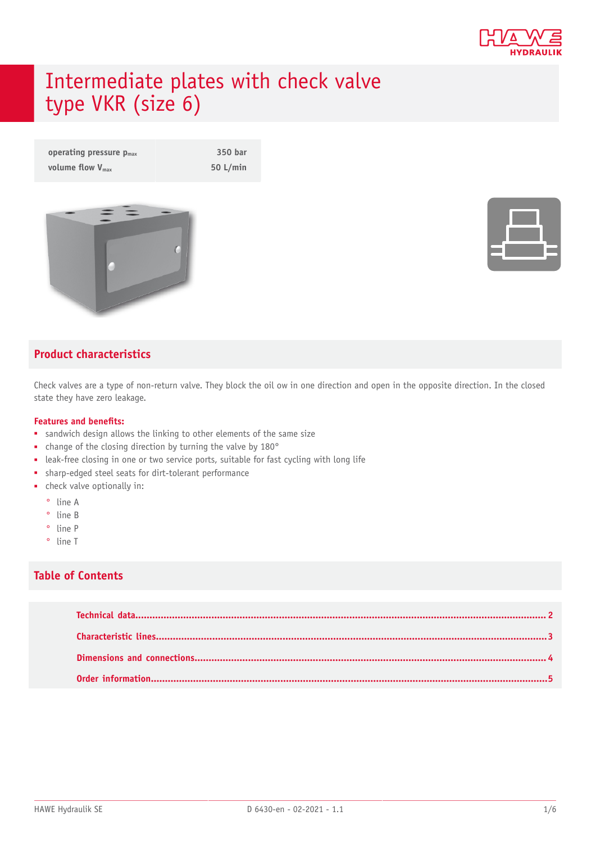

# Intermediate plates with check valve type VKR (size 6)

| operating pressure $p_{\text{max}}$ | 350 bar    |
|-------------------------------------|------------|
| volume flow $V_{\text{max}}$        | $50$ L/min |



### **Product characteristics**

Check valves are a type of non-return valve. They block the oil ow in one direction and open in the opposite direction. In the closed state they have zero leakage.

#### **Features and benets:**

- sandwich design allows the linking to other elements of the same size
- change of the closing direction by turning the valve by 180°
- leak-free closing in one or two service ports, suitable for fast cycling with long life
- sharp-edged steel seats for dirt-tolerant performance
- check valve optionally in:
	- ° line A
	- ° line B
	- ° line P
	- ° line T

#### **Table of Contents**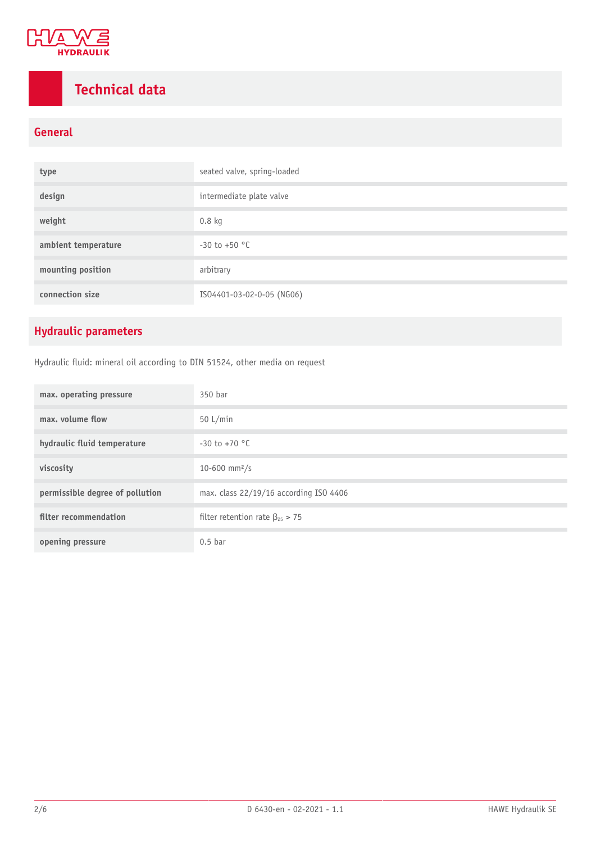

## <span id="page-1-0"></span>**Technical data**

### **General**

| type                | seated valve, spring-loaded |
|---------------------|-----------------------------|
| design              | intermediate plate valve    |
| weight              | $0.8$ kg                    |
| ambient temperature | $-30$ to $+50$ °C           |
| mounting position   | arbitrary                   |
| connection size     | ISO4401-03-02-0-05 (NG06)   |

### **Hydraulic parameters**

Hydraulic fluid: mineral oil according to DIN 51524, other media on request

| max. operating pressure         | 350 bar                                 |
|---------------------------------|-----------------------------------------|
| max. volume flow                | 50 $L/min$                              |
| hydraulic fluid temperature     | $-30$ to $+70$ °C                       |
| viscosity                       | 10-600 mm <sup>2</sup> /s               |
| permissible degree of pollution | max. class 22/19/16 according ISO 4406  |
| filter recommendation           | filter retention rate $\beta_{25} > 75$ |
| opening pressure                | $0.5$ bar                               |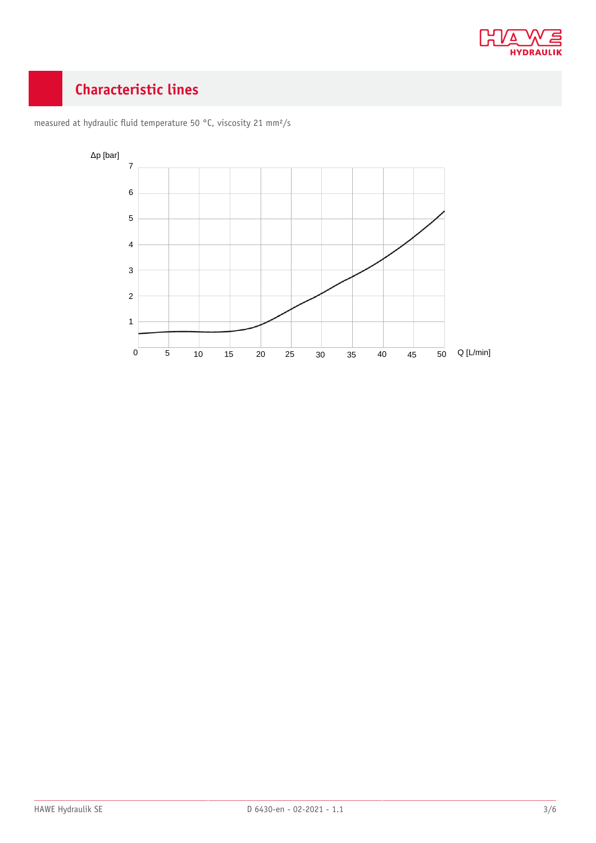

## <span id="page-2-0"></span>**Characteristic lines**



measured at hydraulic fluid temperature 50 °C, viscosity 21 mm<sup>2</sup>/s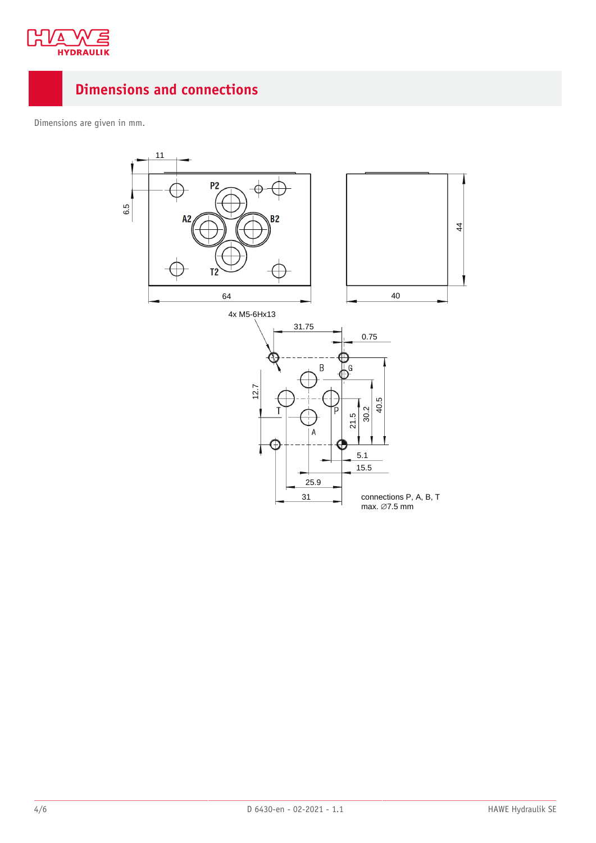

## <span id="page-3-0"></span>**Dimensions and connections**

Dimensions are given in mm.

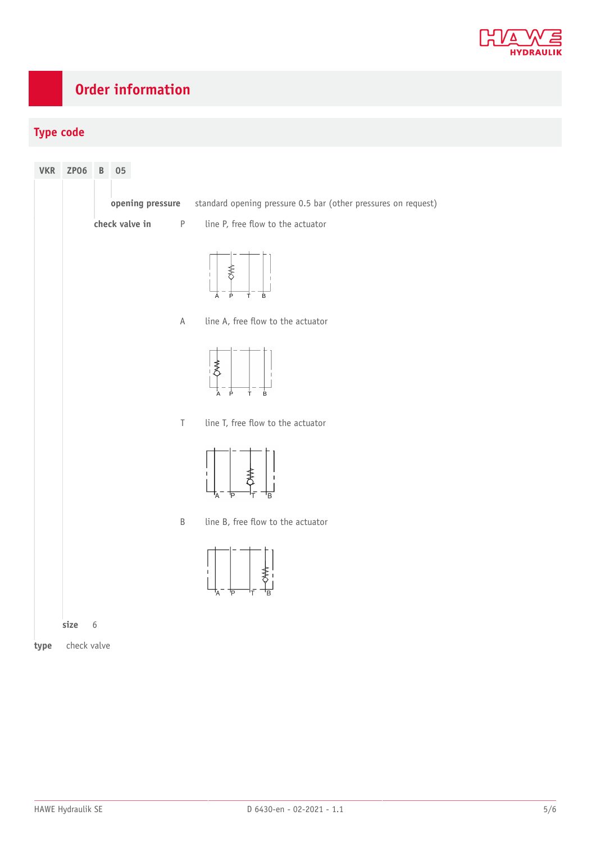

## <span id="page-4-0"></span>**Order information**

### **Type code**

| <b>VKR</b> | <b>ZP06</b> | $\mathsf B$ | 05             |                  |                                                                    |
|------------|-------------|-------------|----------------|------------------|--------------------------------------------------------------------|
|            |             |             |                | opening pressure | standard opening pressure 0.5 bar (other pressures on request)     |
|            |             |             | check valve in | $\sf P$          | line P, free flow to the actuator                                  |
|            |             |             |                |                  | ≸<br>$\mathbb T$<br>P<br>Ė.<br>À<br>Ť                              |
|            |             |             |                | $\mathsf A$      | line A, free flow to the actuator                                  |
|            |             |             |                |                  | $\mathbb{R}^*$<br>$\overline{P}$<br>$\overline{A}$<br>$\sf T$<br>B |
|            |             |             |                | $\top$           | line T, free flow to the actuator                                  |
|            |             |             |                |                  | $\mathbf{I}$<br>ъ<br>F<br>'B                                       |
|            |             |             |                | $\sf B$          | line B, free flow to the actuator                                  |
|            |             |             |                |                  | Τ.<br>F<br>'A                                                      |
|            | size        | $\sqrt{6}$  |                |                  |                                                                    |
| type       | check valve |             |                |                  |                                                                    |